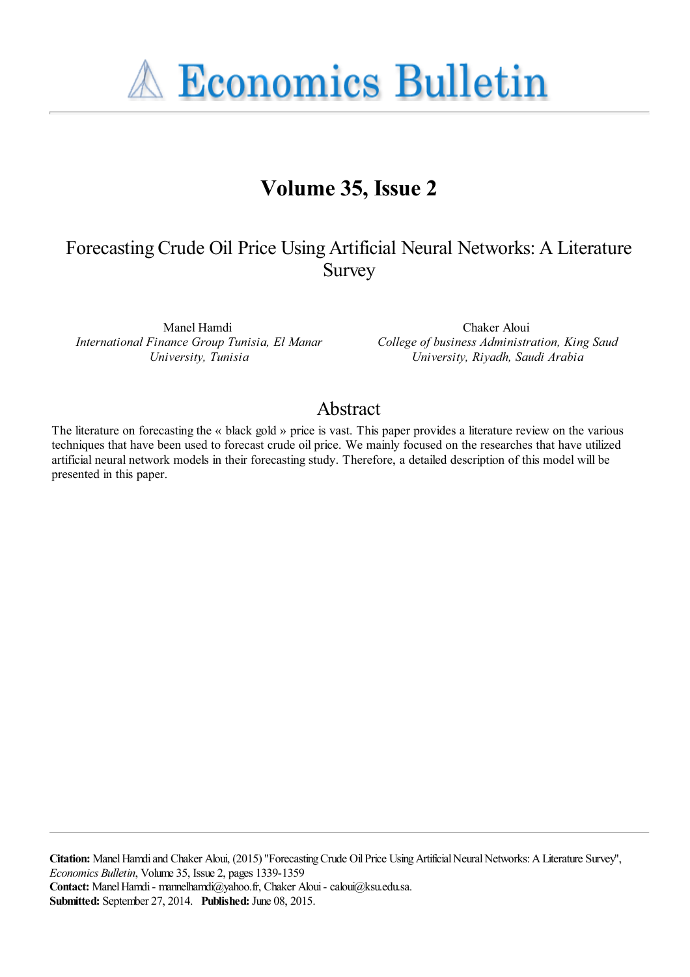**A Economics Bulletin** 

# **Volume 35, Issue 2**

# Forecasting Crude Oil Price Using Artificial Neural Networks: A Literature Survey

Manel Hamdi *International Finance Group Tunisia, El Manar University, Tunisia*

Chaker Aloui *College of business Administration, King Saud University, Riyadh, Saudi Arabia*

# Abstract

The literature on forecasting the « black gold » price is vast. This paper provides a literature review on the various techniques that have been used to forecast crude oil price. We mainly focused on the researches that have utilized artificial neural network models in their forecasting study. Therefore, a detailed description of this model will be presented in this paper.

**Citation:** Manel Hamdi and Chaker Aloui, (2015) ''Forecasting Crude Oil Price Using Artificial Neural Networks: A Literature Survey'', *Economics Bulletin*, Volume 35, Issue 2, pages 1339-1359 **Contact:** Manel Hamdi - mannelhamdi@yahoo.fr, Chaker Aloui - caloui@ksu.edu.sa. **Submitted:** September 27, 2014. **Published:** June 08, 2015.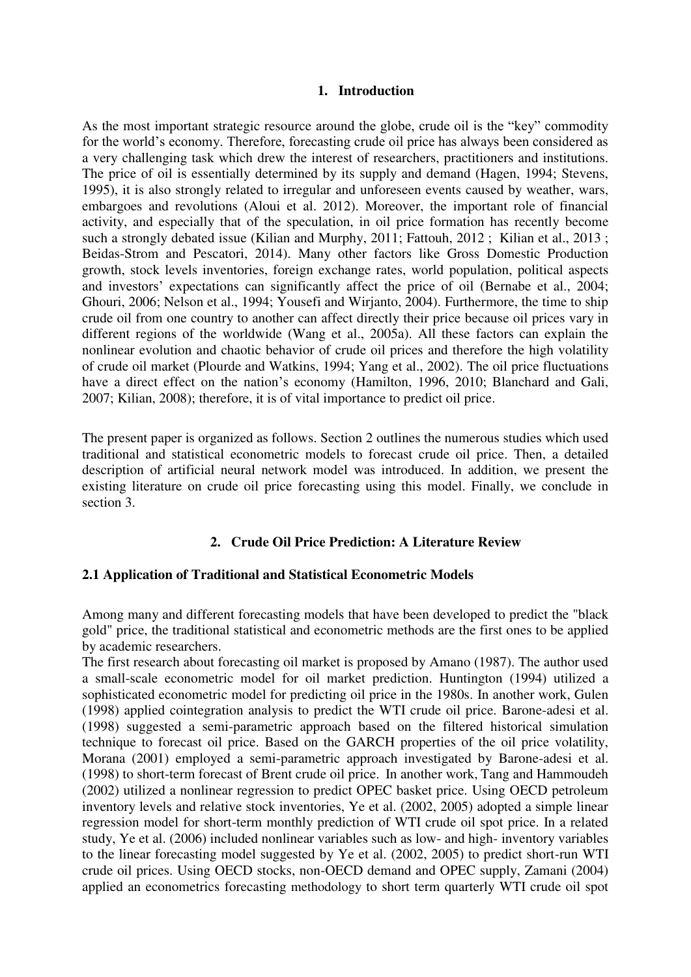### **1. Introduction**

As the most important strategic resource around the globe, crude oil is the "key" commodity for the world"s economy. Therefore, forecasting crude oil price has always been considered as a very challenging task which drew the interest of researchers, practitioners and institutions. The price of oil is essentially determined by its supply and demand (Hagen, 1994; Stevens, 1995), it is also strongly related to irregular and unforeseen events caused by weather, wars, embargoes and revolutions (Aloui et al. 2012). Moreover, the important role of financial activity, and especially that of the speculation, in oil price formation has recently become such a strongly debated issue (Kilian and Murphy, 2011; Fattouh, 2012 ; Kilian et al., 2013 ; Beidas-Strom and Pescatori, 2014). Many other factors like Gross Domestic Production growth, stock levels inventories, foreign exchange rates, world population, political aspects and investors' expectations can significantly affect the price of oil (Bernabe et al., 2004; Ghouri, 2006; Nelson et al., 1994; Yousefi and Wirjanto, 2004). Furthermore, the time to ship crude oil from one country to another can affect directly their price because oil prices vary in different regions of the worldwide (Wang et al., 2005a). All these factors can explain the nonlinear evolution and chaotic behavior of crude oil prices and therefore the high volatility of crude oil market (Plourde and Watkins, 1994; Yang et al., 2002). The oil price fluctuations have a direct effect on the nation's economy (Hamilton, 1996, 2010; Blanchard and Gali, 2007; Kilian, 2008); therefore, it is of vital importance to predict oil price.

The present paper is organized as follows. Section 2 outlines the numerous studies which used traditional and statistical econometric models to forecast crude oil price. Then, a detailed description of artificial neural network model was introduced. In addition, we present the existing literature on crude oil price forecasting using this model. Finally, we conclude in section 3.

## **2. Crude Oil Price Prediction: A Literature Review**

### **2.1 Application of Traditional and Statistical Econometric Models**

Among many and different forecasting models that have been developed to predict the "black gold" price, the traditional statistical and econometric methods are the first ones to be applied by academic researchers.

The first research about forecasting oil market is proposed by Amano (1987). The author used a small-scale econometric model for oil market prediction. Huntington (1994) utilized a sophisticated econometric model for predicting oil price in the 1980s. In another work, Gulen (1998) applied cointegration analysis to predict the WTI crude oil price. Barone-adesi et al. (1998) suggested a semi-parametric approach based on the filtered historical simulation technique to forecast oil price. Based on the GARCH properties of the oil price volatility, Morana (2001) employed a semi-parametric approach investigated by Barone-adesi et al. (1998) to short-term forecast of Brent crude oil price. In another work, Tang and Hammoudeh (2002) utilized a nonlinear regression to predict OPEC basket price. Using OECD petroleum inventory levels and relative stock inventories, Ye et al. (2002, 2005) adopted a simple linear regression model for short-term monthly prediction of WTI crude oil spot price. In a related study, Ye et al. (2006) included nonlinear variables such as low- and high- inventory variables to the linear forecasting model suggested by Ye et al. (2002, 2005) to predict short-run WTI crude oil prices. Using OECD stocks, non-OECD demand and OPEC supply, Zamani (2004) applied an econometrics forecasting methodology to short term quarterly WTI crude oil spot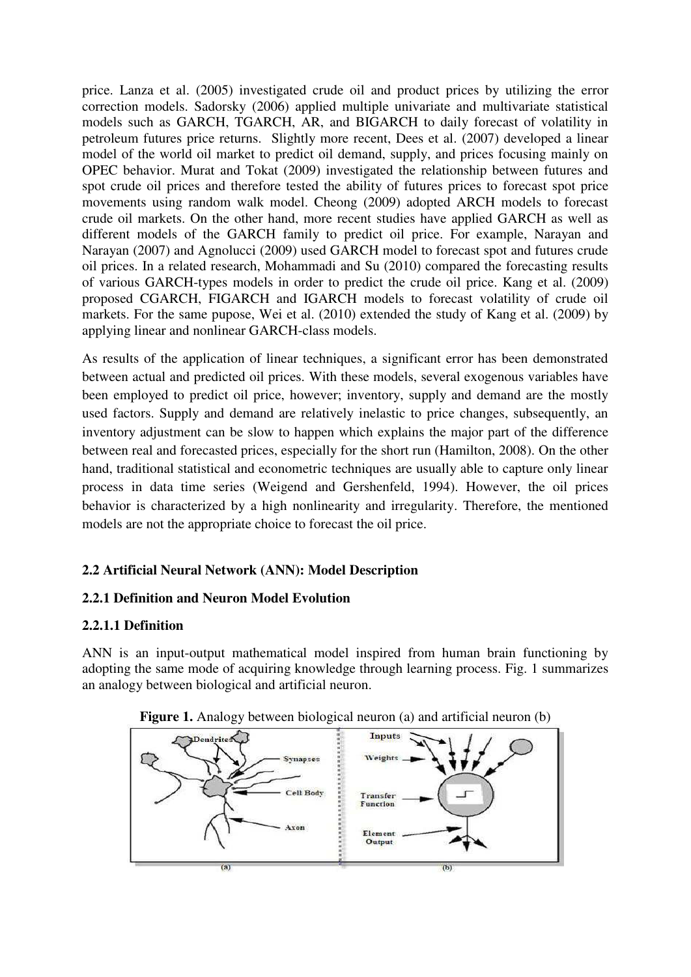price. Lanza et al. (2005) investigated crude oil and product prices by utilizing the error correction models. Sadorsky (2006) applied multiple univariate and multivariate statistical models such as GARCH, TGARCH, AR, and BIGARCH to daily forecast of volatility in petroleum futures price returns. Slightly more recent, Dees et al. (2007) developed a linear model of the world oil market to predict oil demand, supply, and prices focusing mainly on OPEC behavior. Murat and Tokat (2009) investigated the relationship between futures and spot crude oil prices and therefore tested the ability of futures prices to forecast spot price movements using random walk model. Cheong (2009) adopted ARCH models to forecast crude oil markets. On the other hand, more recent studies have applied GARCH as well as different models of the GARCH family to predict oil price. For example, Narayan and Narayan (2007) and Agnolucci (2009) used GARCH model to forecast spot and futures crude oil prices. In a related research, Mohammadi and Su (2010) compared the forecasting results of various GARCH-types models in order to predict the crude oil price. Kang et al. (2009) proposed CGARCH, FIGARCH and IGARCH models to forecast volatility of crude oil markets. For the same pupose, Wei et al. (2010) extended the study of Kang et al. (2009) by applying linear and nonlinear GARCH-class models.

As results of the application of linear techniques, a significant error has been demonstrated between actual and predicted oil prices. With these models, several exogenous variables have been employed to predict oil price, however; inventory, supply and demand are the mostly used factors. Supply and demand are relatively inelastic to price changes, subsequently, an inventory adjustment can be slow to happen which explains the major part of the difference between real and forecasted prices, especially for the short run (Hamilton, 2008). On the other hand, traditional statistical and econometric techniques are usually able to capture only linear process in data time series (Weigend and Gershenfeld, 1994). However, the oil prices behavior is characterized by a high nonlinearity and irregularity. Therefore, the mentioned models are not the appropriate choice to forecast the oil price.

# **2.2 Artificial Neural Network (ANN): Model Description**

## **2.2.1 Definition and Neuron Model Evolution**

### **2.2.1.1 Definition**

ANN is an input-output mathematical model inspired from human brain functioning by adopting the same mode of acquiring knowledge through learning process. Fig. 1 summarizes an analogy between biological and artificial neuron.



**Figure 1.** Analogy between biological neuron (a) and artificial neuron (b)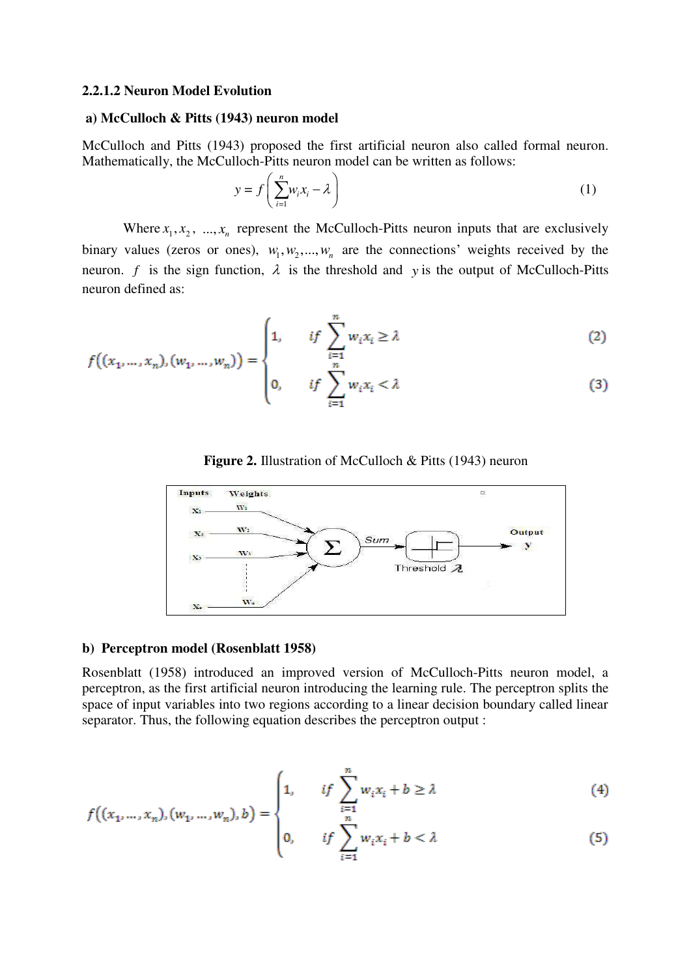#### **2.2.1.2 Neuron Model Evolution**

#### **a) McCulloch & Pitts (1943) neuron model**

McCulloch and Pitts (1943) proposed the first artificial neuron also called formal neuron. Mathematically, the McCulloch-Pitts neuron model can be written as follows:

$$
y = f\left(\sum_{i=1}^{n} w_i x_i - \lambda\right)
$$
 (1)

Where  $x_1, x_2, \ldots, x_n$  represent the McCulloch-Pitts neuron inputs that are exclusively binary values (zeros or ones),  $w_1, w_2, ..., w_n$  are the connections' weights received by the neuron. *f* is the sign function,  $\lambda$  is the threshold and *y* is the output of McCulloch-Pitts neuron defined as:

$$
f((x_1, ..., x_n), (w_1, ..., w_n)) = \begin{cases} 1, & if \sum_{i=1}^n w_i x_i \ge \lambda \\ & n \end{cases}
$$
 (2)

$$
\left(0, \quad \text{if } \sum_{i=1}^{n} w_i x_i < \lambda \tag{3}
$$





#### **b) Perceptron model (Rosenblatt 1958)**

Rosenblatt (1958) introduced an improved version of McCulloch-Pitts neuron model, a perceptron, as the first artificial neuron introducing the learning rule. The perceptron splits the space of input variables into two regions according to a linear decision boundary called linear separator. Thus, the following equation describes the perceptron output :

$$
f((x_1, ..., x_n), (w_1, ..., w_n), b) = \begin{cases} 1, & if \sum_{i=1}^n w_i x_i + b \ge \lambda \\ & n \end{cases}
$$
 (4)

$$
\left|0, \quad \text{if } \sum_{i=1}^{n} w_i x_i + b < \lambda \tag{5}
$$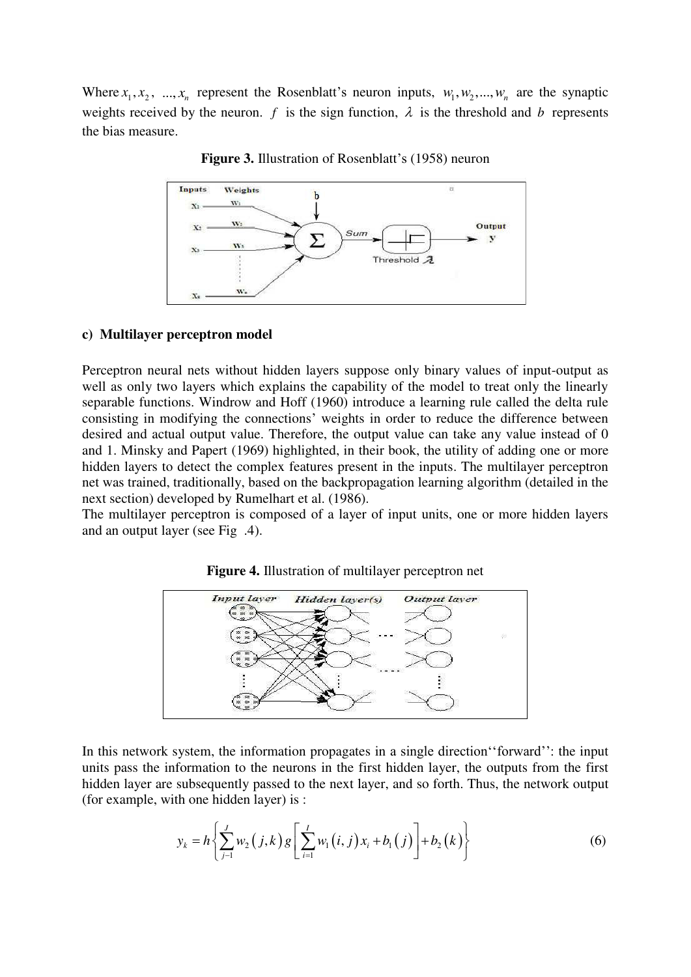Where  $x_1, x_2, \ldots, x_n$  represent the Rosenblatt's neuron inputs,  $w_1, w_2, \ldots, w_n$  are the synaptic weights received by the neuron. *f* is the sign function,  $\lambda$  is the threshold and *b* represents the bias measure.



**Figure 3.** Illustration of Rosenblatt's (1958) neuron

#### **c) Multilayer perceptron model**

Perceptron neural nets without hidden layers suppose only binary values of input-output as well as only two layers which explains the capability of the model to treat only the linearly separable functions. Windrow and Hoff (1960) introduce a learning rule called the delta rule consisting in modifying the connections" weights in order to reduce the difference between desired and actual output value. Therefore, the output value can take any value instead of 0 and 1. Minsky and Papert (1969) highlighted, in their book, the utility of adding one or more hidden layers to detect the complex features present in the inputs. The multilayer perceptron net was trained, traditionally, based on the backpropagation learning algorithm (detailed in the next section) developed by Rumelhart et al. (1986).

The multilayer perceptron is composed of a layer of input units, one or more hidden layers and an output layer (see Fig .4).



**Figure 4.** Illustration of multilayer perceptron net

In this network system, the information propagates in a single direction "forward": the input units pass the information to the neurons in the first hidden layer, the outputs from the first hidden layer are subsequently passed to the next layer, and so forth. Thus, the network output (for example, with one hidden layer) is :

$$
y_k = h\left\{\sum_{j=1}^J w_2(j,k) g\left[\sum_{i=1}^I w_i(i,j) x_i + b_1(j)\right] + b_2(k)\right\}
$$
(6)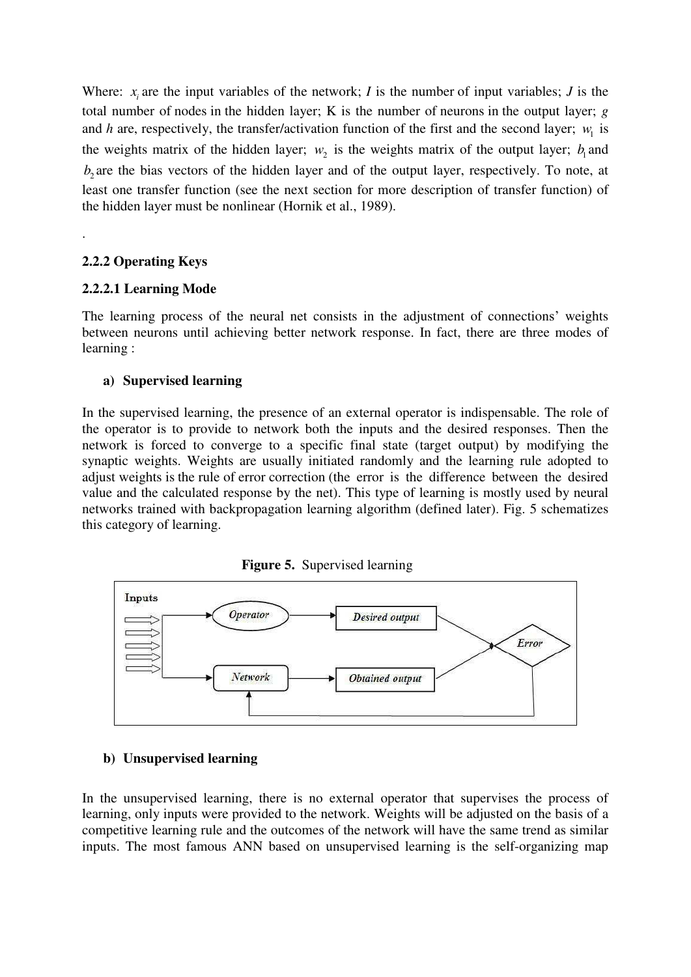Where:  $x_i$  are the input variables of the network; *I* is the number of input variables; *J* is the total number of nodes in the hidden layer; K is the number of neurons in the output layer; *g*  and *h* are, respectively, the transfer/activation function of the first and the second layer;  $w_1$  is the weights matrix of the hidden layer;  $w_2$  is the weights matrix of the output layer;  $b_1$  and  $b_2$  are the bias vectors of the hidden layer and of the output layer, respectively. To note, at least one transfer function (see the next section for more description of transfer function) of the hidden layer must be nonlinear (Hornik et al., 1989).

## **2.2.2 Operating Keys**

.

### **2.2.2.1 Learning Mode**

The learning process of the neural net consists in the adjustment of connections' weights between neurons until achieving better network response. In fact, there are three modes of learning :

## **a) Supervised learning**

In the supervised learning, the presence of an external operator is indispensable. The role of the operator is to provide to network both the inputs and the desired responses. Then the network is forced to converge to a specific final state (target output) by modifying the synaptic weights. Weights are usually initiated randomly and the learning rule adopted to adjust weights is the rule of error correction (the error is the difference between the desired value and the calculated response by the net). This type of learning is mostly used by neural networks trained with backpropagation learning algorithm (defined later). Fig. 5 schematizes this category of learning.

 **Figure 5.** Supervised learning



## **b) Unsupervised learning**

In the unsupervised learning, there is no external operator that supervises the process of learning, only inputs were provided to the network. Weights will be adjusted on the basis of a competitive learning rule and the outcomes of the network will have the same trend as similar inputs. The most famous ANN based on unsupervised learning is the self-organizing map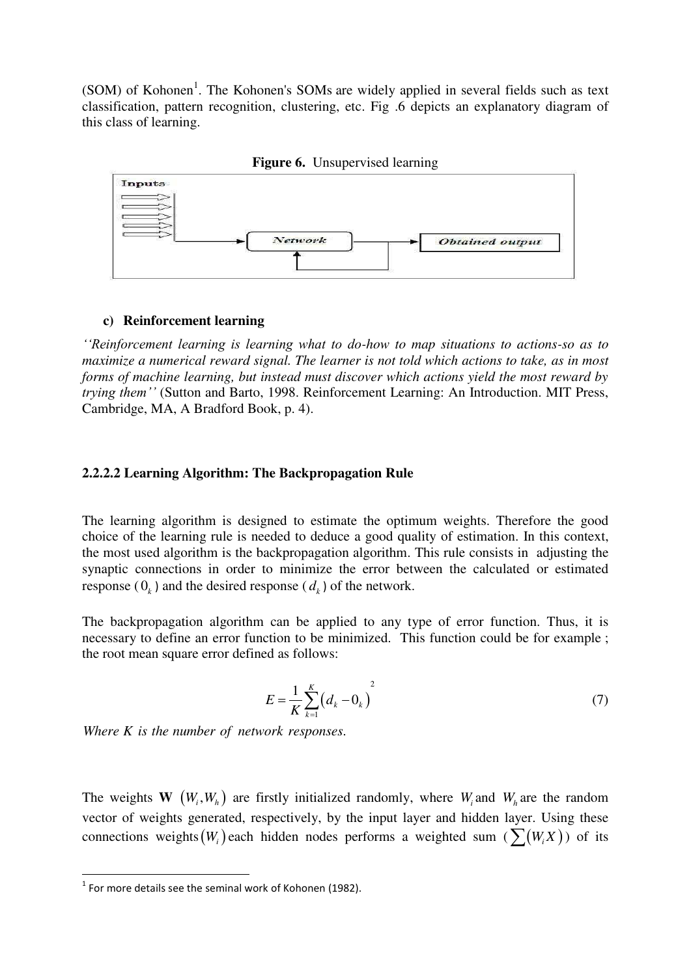$(SOM)$  of Kohonen<sup>1</sup>. The Kohonen's SOMs are widely applied in several fields such as text classification, pattern recognition, clustering, etc. Fig .6 depicts an explanatory diagram of this class of learning.



**Figure 6.** Unsupervised learning

#### **c) Reinforcement learning**

*''Reinforcement learning is learning what to do-how to map situations to actions-so as to maximize a numerical reward signal. The learner is not told which actions to take, as in most forms of machine learning, but instead must discover which actions yield the most reward by trying them''* (Sutton and Barto, 1998. Reinforcement Learning: An Introduction. [MIT Press,](http://mitpress.mit.edu/0262193981) Cambridge, MA, A Bradford Book, p. 4).

### **2.2.2.2 Learning Algorithm: The Backpropagation Rule**

The learning algorithm is designed to estimate the optimum weights. Therefore the good choice of the learning rule is needed to deduce a good quality of estimation. In this context, the most used algorithm is the backpropagation algorithm. This rule consists in adjusting the synaptic connections in order to minimize the error between the calculated or estimated response  $(0_k)$  and the desired response  $(d_k)$  of the network.

The backpropagation algorithm can be applied to any type of error function. Thus, it is necessary to define an error function to be minimized. This function could be for example ; the root mean square error defined as follows:

$$
E = \frac{1}{K} \sum_{k=1}^{K} (d_k - 0_k)^2
$$
 (7)

. *Where K is the number of network responses*

The weights **W**  $(W_i, W_h)$  are firstly initialized randomly, where  $W_i$  and  $W_h$  are the random vector of weights generated, respectively, by the input layer and hidden layer. Using these connections weights  $(W_i)$  each hidden nodes performs a weighted sum  $(\sum (W_i X))$  of its

<u>.</u>

 $1$  For more details see the seminal work of Kohonen (1982).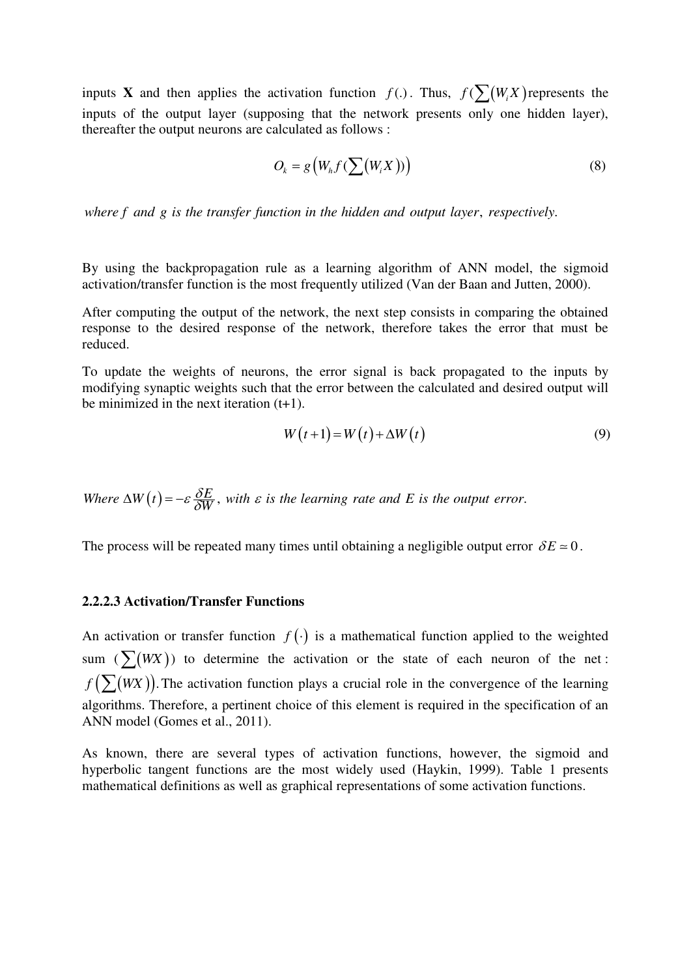inputs **X** and then applies the activation function  $f(.)$ . Thus,  $f(\sum_{i} (W_i X_i))$  represents the inputs of the output layer (supposing that the network presents only one hidden layer), thereafter the output neurons are calculated as follows :

$$
O_k = g\left(W_h f(\sum(W_i X))\right) \tag{8}
$$

where f and g is the transfer function in the hidden and output layer, respectively.

By using the backpropagation rule as a learning algorithm of ANN model, the sigmoid activation/transfer function is the most frequently utilized (Van der Baan and Jutten, 2000).

After computing the output of the network, the next step consists in comparing the obtained response to the desired response of the network, therefore takes the error that must be reduced.

To update the weights of neurons, the error signal is back propagated to the inputs by modifying synaptic weights such that the error between the calculated and desired output will be minimized in the next iteration  $(t+1)$ .

$$
W(t+1) = W(t) + \Delta W(t)
$$
\n(9)

Where  $\Delta W(t) = -\varepsilon \frac{\delta E}{\delta W}$ , with  $\varepsilon$  is the learning rate and E is the output error.

The process will be repeated many times until obtaining a negligible output error  $\delta E \approx 0$ .

#### **2.2.2.3 Activation/Transfer Functions**

An activation or transfer function  $f(\cdot)$  is a mathematical function applied to the weighted sum  $(\sum(WX))$  to determine the activation or the state of each neuron of the net:  $f(\sum(WX))$ . The activation function plays a crucial role in the convergence of the learning algorithms. Therefore, a pertinent choice of this element is required in the specification of an ANN model (Gomes et al., 2011).

As known, there are several types of activation functions, however, the sigmoid and hyperbolic tangent functions are the most widely used (Haykin, 1999). Table 1 presents mathematical definitions as well as graphical representations of some activation functions.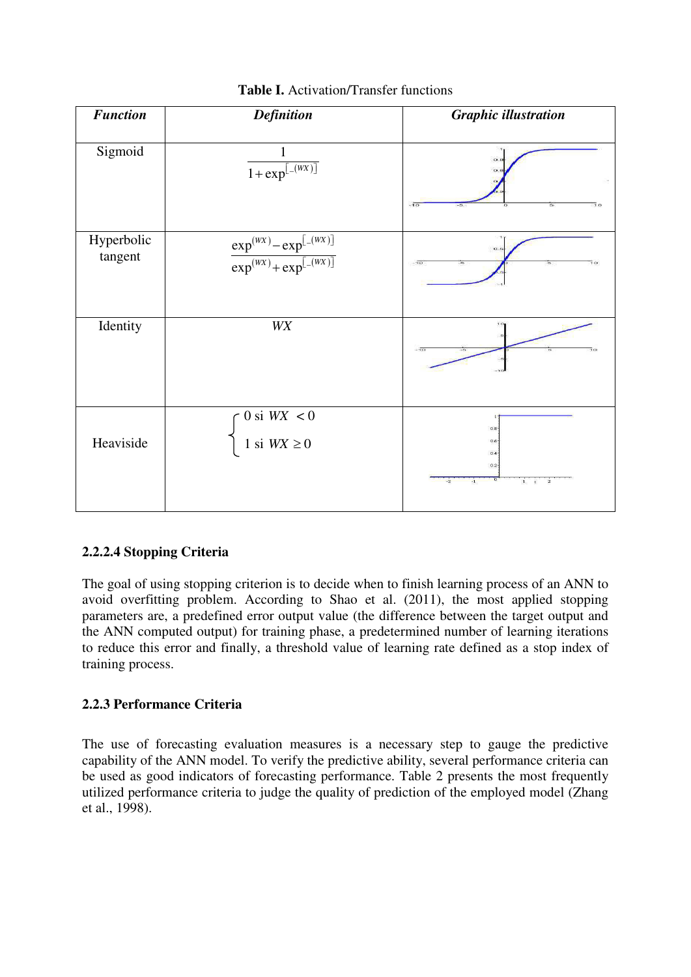| <b>Function</b>       | <b>Definition</b>                                                   | <b>Graphic illustration</b>                                             |
|-----------------------|---------------------------------------------------------------------|-------------------------------------------------------------------------|
| Sigmoid               | 1<br>$1 + \exp^{[-(WX)]}$                                           | o.<br>$-10$<br>$\overline{10}$<br>$\overline{5}$                        |
| Hyperbolic<br>tangent | $\frac{\exp^{(wx)} - \exp^{[-(wx)]}}{\exp^{(wx)} + \exp^{[-(wx)]}}$ | a.<br>$-10$                                                             |
| Identity              | <b>WX</b>                                                           |                                                                         |
| Heaviside             | $0$ si $W\!X\,<0$<br>$1$ si $W\!X \geq \!0$                         | $0.8 -$<br>$0.6 -$<br>0.4<br>$0.2 -$<br>$1 + 2$<br>$-2$<br>$\mathbf{a}$ |

**Table I.** Activation/Transfer functions

# **2.2.2.4 Stopping Criteria**

The goal of using stopping criterion is to decide when to finish learning process of an ANN to avoid overfitting problem. According to Shao et al. (2011), the most applied stopping parameters are, a predefined error output value (the difference between the target output and the ANN computed output) for training phase, a predetermined number of learning iterations to reduce this error and finally, a threshold value of learning rate defined as a stop index of training process.

# **2.2.3 Performance Criteria**

The use of forecasting evaluation measures is a necessary step to gauge the predictive capability of the ANN model. To verify the predictive ability, several performance criteria can be used as good indicators of forecasting performance. Table 2 presents the most frequently utilized performance criteria to judge the quality of prediction of the employed model (Zhang et al., 1998).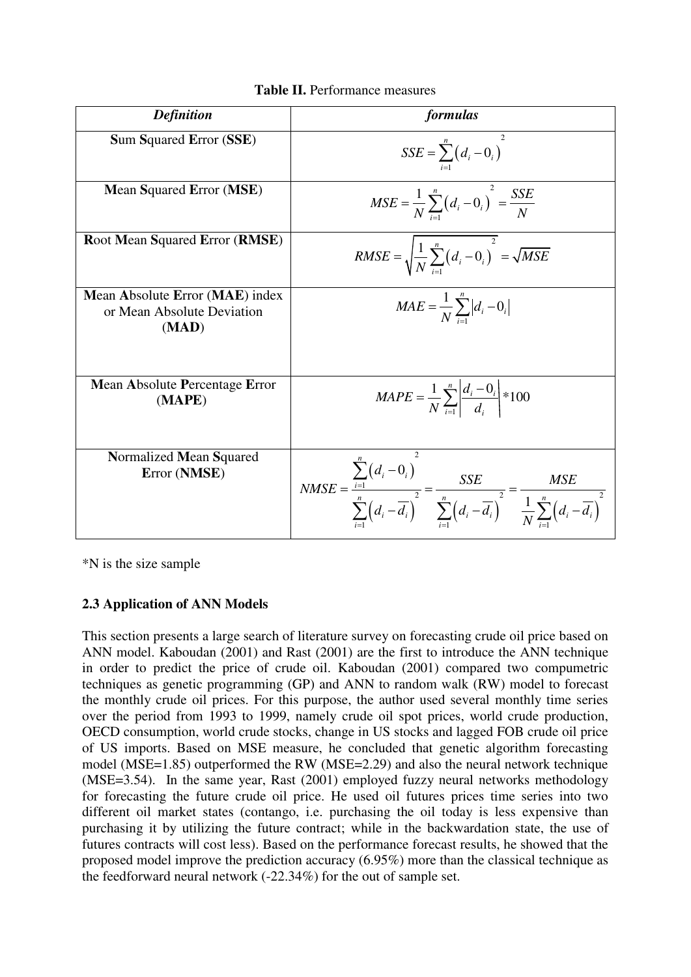| <b>Definition</b>                                                      | formulas                                                                                                                                                                                                    |  |
|------------------------------------------------------------------------|-------------------------------------------------------------------------------------------------------------------------------------------------------------------------------------------------------------|--|
| <b>Sum Squared Error (SSE)</b>                                         | $SSE = \sum_{i=1}^{n} (d_i - 0_i)^T$                                                                                                                                                                        |  |
| <b>Mean Squared Error (MSE)</b>                                        | $MSE = \frac{1}{N} \sum_{i=1}^{n} (d_i - 0_i)^2 = \frac{SSE}{N}$                                                                                                                                            |  |
| <b>Root Mean Squared Error (RMSE)</b>                                  | $RMSE = \sqrt{\frac{1}{N} \sum_{i=1}^{n} (d_i - 0_i)^2} = \sqrt{MSE}$                                                                                                                                       |  |
| Mean Absolute Error (MAE) index<br>or Mean Absolute Deviation<br>(MAD) | $MAE = \frac{1}{N} \sum_{i=1}^{n}  d_i - 0_i $                                                                                                                                                              |  |
| <b>Mean Absolute Percentage Error</b><br>(MAPE)                        | $MAPE = \frac{1}{N} \sum_{i=1}^{n} \left  \frac{d_i - 0_i}{d_i} \right  * 100$                                                                                                                              |  |
| Normalized Mean Squared<br>Error (NMSE)                                | $NMSE = \frac{\sum_{i=1}^{n} (d_i - 0_i)}{\sum_{i=1}^{n} (d_i - \overline{d_i})^2} = \frac{SSE}{\sum_{i=1}^{n} (d_i - \overline{d_i})^2} = \frac{MSE}{\frac{1}{N} \sum_{i=1}^{n} (d_i - \overline{d_i})^2}$ |  |

| <b>Table II.</b> Performance measures |  |
|---------------------------------------|--|
|---------------------------------------|--|

\*N is the size sample

# **2.3 Application of ANN Models**

This section presents a large search of literature survey on forecasting crude oil price based on ANN model. Kaboudan (2001) and Rast (2001) are the first to introduce the ANN technique in order to predict the price of crude oil. Kaboudan (2001) compared two compumetric techniques as genetic programming (GP) and ANN to random walk (RW) model to forecast the monthly crude oil prices. For this purpose, the author used several monthly time series over the period from 1993 to 1999, namely crude oil spot prices, world crude production, OECD consumption, world crude stocks, change in US stocks and lagged FOB crude oil price of US imports. Based on MSE measure, he concluded that genetic algorithm forecasting model (MSE=1.85) outperformed the RW (MSE=2.29) and also the neural network technique (MSE=3.54). In the same year, Rast (2001) employed fuzzy neural networks methodology for forecasting the future crude oil price. He used oil futures prices time series into two different oil market states (contango, i.e. purchasing the oil today is less expensive than purchasing it by utilizing the future contract; while in the backwardation state, the use of futures contracts will cost less). Based on the performance forecast results, he showed that the proposed model improve the prediction accuracy (6.95%) more than the classical technique as the feedforward neural network (-22.34%) for the out of sample set.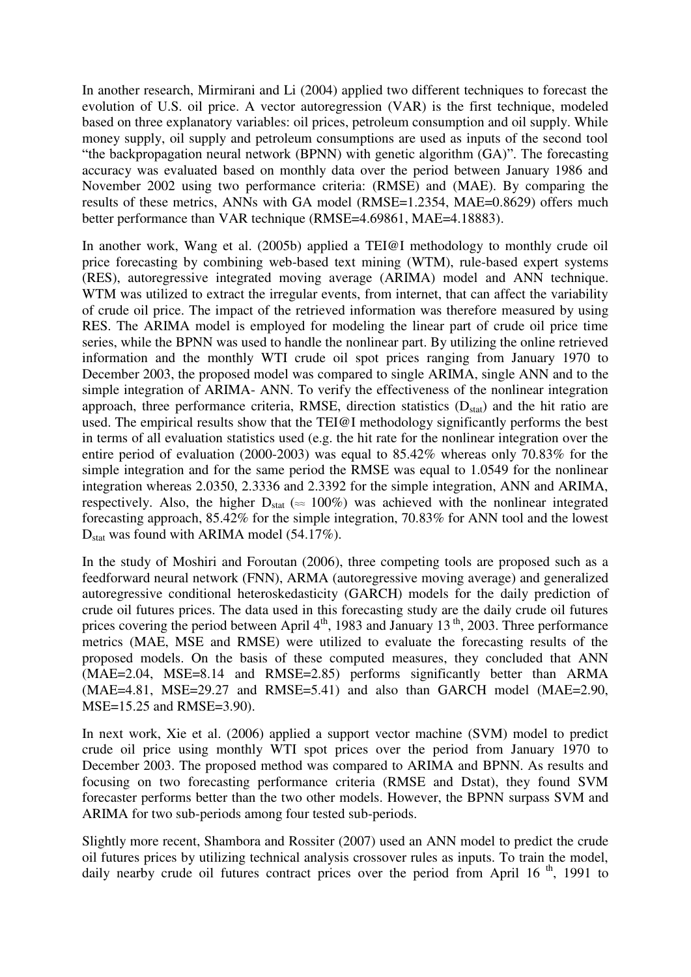In another research, Mirmirani and Li (2004) applied two different techniques to forecast the evolution of U.S. oil price. A vector autoregression (VAR) is the first technique, modeled based on three explanatory variables: oil prices, petroleum consumption and oil supply. While money supply, oil supply and petroleum consumptions are used as inputs of the second tool "the backpropagation neural network (BPNN) with genetic algorithm (GA)". The forecasting accuracy was evaluated based on monthly data over the period between January 1986 and November 2002 using two performance criteria: (RMSE) and (MAE). By comparing the results of these metrics, ANNs with GA model (RMSE=1.2354, MAE=0.8629) offers much better performance than VAR technique (RMSE=4.69861, MAE=4.18883).

In another work, Wang et al. (2005b) applied a TEI@I methodology to monthly crude oil price forecasting by combining web-based text mining (WTM), rule-based expert systems (RES), autoregressive integrated moving average (ARIMA) model and ANN technique. WTM was utilized to extract the irregular events, from internet, that can affect the variability of crude oil price. The impact of the retrieved information was therefore measured by using RES. The ARIMA model is employed for modeling the linear part of crude oil price time series, while the BPNN was used to handle the nonlinear part. By utilizing the online retrieved information and the monthly WTI crude oil spot prices ranging from January 1970 to December 2003, the proposed model was compared to single ARIMA, single ANN and to the simple integration of ARIMA- ANN. To verify the effectiveness of the nonlinear integration approach, three performance criteria, RMSE, direction statistics  $(D_{stat})$  and the hit ratio are used. The empirical results show that the TEI@I methodology significantly performs the best in terms of all evaluation statistics used (e.g. the hit rate for the nonlinear integration over the entire period of evaluation (2000-2003) was equal to 85.42% whereas only 70.83% for the simple integration and for the same period the RMSE was equal to 1.0549 for the nonlinear integration whereas 2.0350, 2.3336 and 2.3392 for the simple integration, ANN and ARIMA, respectively. Also, the higher  $D_{stat} \approx 100\%$ ) was achieved with the nonlinear integrated forecasting approach, 85.42% for the simple integration, 70.83% for ANN tool and the lowest  $D<sub>stat</sub>$  was found with ARIMA model (54.17%).

In the study of Moshiri and Foroutan (2006), three competing tools are proposed such as a feedforward neural network (FNN), ARMA (autoregressive moving average) and generalized autoregressive conditional heteroskedasticity (GARCH) models for the daily prediction of crude oil futures prices. The data used in this forecasting study are the daily crude oil futures prices covering the period between April  $4<sup>th</sup>$ , 1983 and January 13<sup>th</sup>, 2003. Three performance metrics (MAE, MSE and RMSE) were utilized to evaluate the forecasting results of the proposed models. On the basis of these computed measures, they concluded that ANN (MAE=2.04, MSE=8.14 and RMSE=2.85) performs significantly better than ARMA  $(MAE=4.81, MSE=29.27$  and  $RMSE=5.41$ ) and also than GARCH model  $(MAE=2.90,$ MSE=15.25 and RMSE=3.90).

In next work, Xie et al. (2006) applied a support vector machine (SVM) model to predict crude oil price using monthly WTI spot prices over the period from January 1970 to December 2003. The proposed method was compared to ARIMA and BPNN. As results and focusing on two forecasting performance criteria (RMSE and Dstat), they found SVM forecaster performs better than the two other models. However, the BPNN surpass SVM and ARIMA for two sub-periods among four tested sub-periods.

Slightly more recent, Shambora and Rossiter (2007) used an ANN model to predict the crude oil futures prices by utilizing technical analysis crossover rules as inputs. To train the model, daily nearby crude oil futures contract prices over the period from April 16<sup>th</sup>, 1991 to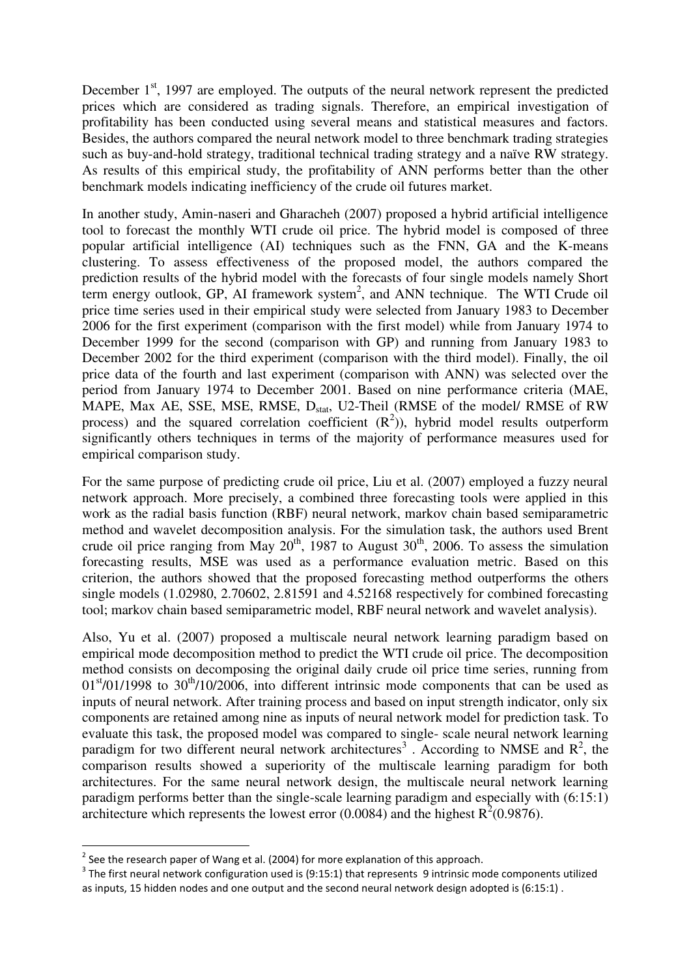December  $1<sup>st</sup>$ , 1997 are employed. The outputs of the neural network represent the predicted prices which are considered as trading signals. Therefore, an empirical investigation of profitability has been conducted using several means and statistical measures and factors. Besides, the authors compared the neural network model to three benchmark trading strategies such as buy-and-hold strategy, traditional technical trading strategy and a naïve RW strategy. As results of this empirical study, the profitability of ANN performs better than the other benchmark models indicating inefficiency of the crude oil futures market.

In another study, Amin-naseri and Gharacheh (2007) proposed a hybrid artificial intelligence tool to forecast the monthly WTI crude oil price. The hybrid model is composed of three popular artificial intelligence (AI) techniques such as the FNN, GA and the K-means clustering. To assess effectiveness of the proposed model, the authors compared the prediction results of the hybrid model with the forecasts of four single models namely Short term energy outlook, GP, AI framework system<sup>2</sup>, and ANN technique. The WTI Crude oil price time series used in their empirical study were selected from January 1983 to December 2006 for the first experiment (comparison with the first model) while from January 1974 to December 1999 for the second (comparison with GP) and running from January 1983 to December 2002 for the third experiment (comparison with the third model). Finally, the oil price data of the fourth and last experiment (comparison with ANN) was selected over the period from January 1974 to December 2001. Based on nine performance criteria (MAE, MAPE, Max AE, SSE, MSE, RMSE,  $D_{stat}$ , U2-Theil (RMSE of the model/ RMSE of RW process) and the squared correlation coefficient  $(R^2)$ ), hybrid model results outperform significantly others techniques in terms of the majority of performance measures used for empirical comparison study.

For the same purpose of predicting crude oil price, Liu et al. (2007) employed a fuzzy neural network approach. More precisely, a combined three forecasting tools were applied in this work as the radial basis function (RBF) neural network, markov chain based semiparametric method and wavelet decomposition analysis. For the simulation task, the authors used Brent crude oil price ranging from May  $20^{th}$ , 1987 to August  $30^{th}$ , 2006. To assess the simulation forecasting results, MSE was used as a performance evaluation metric. Based on this criterion, the authors showed that the proposed forecasting method outperforms the others single models (1.02980, 2.70602, 2.81591 and 4.52168 respectively for combined forecasting tool; markov chain based semiparametric model, RBF neural network and wavelet analysis).

Also, Yu et al. (2007) proposed a multiscale neural network learning paradigm based on empirical mode decomposition method to predict the WTI crude oil price. The decomposition method consists on decomposing the original daily crude oil price time series, running from  $0.01<sup>st</sup>/01/1998$  to  $30<sup>th</sup>/10/2006$ , into different intrinsic mode components that can be used as inputs of neural network. After training process and based on input strength indicator, only six components are retained among nine as inputs of neural network model for prediction task. To evaluate this task, the proposed model was compared to single- scale neural network learning paradigm for two different neural network architectures<sup>3</sup>. According to NMSE and  $R^2$ , the comparison results showed a superiority of the multiscale learning paradigm for both architectures. For the same neural network design, the multiscale neural network learning paradigm performs better than the single-scale learning paradigm and especially with (6:15:1) architecture which represents the lowest error (0.0084) and the highest  $R^2(0.9876)$ .

-

 $2$  See the research paper of Wang et al. (2004) for more explanation of this approach.

 $3$  The first neural network configuration used is (9:15:1) that represents 9 intrinsic mode components utilized as inputs, 15 hidden nodes and one output and the second neural network design adopted is (6:15:1) .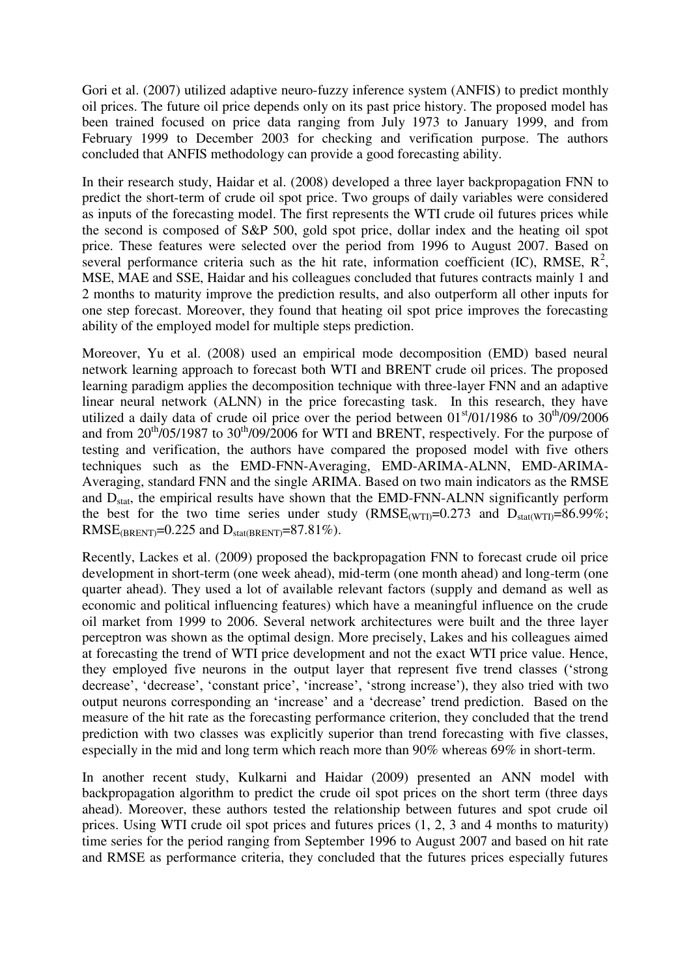Gori et al. (2007) utilized adaptive neuro-fuzzy inference system (ANFIS) to predict monthly oil prices. The future oil price depends only on its past price history. The proposed model has been trained focused on price data ranging from July 1973 to January 1999, and from February 1999 to December 2003 for checking and verification purpose. The authors concluded that ANFIS methodology can provide a good forecasting ability.

In their research study, Haidar et al. (2008) developed a three layer backpropagation FNN to predict the short-term of crude oil spot price. Two groups of daily variables were considered as inputs of the forecasting model. The first represents the WTI crude oil futures prices while the second is composed of S&P 500, gold spot price, dollar index and the heating oil spot price. These features were selected over the period from 1996 to August 2007. Based on several performance criteria such as the hit rate, information coefficient (IC), RMSE,  $R^2$ , MSE, MAE and SSE, Haidar and his colleagues concluded that futures contracts mainly 1 and 2 months to maturity improve the prediction results, and also outperform all other inputs for one step forecast. Moreover, they found that heating oil spot price improves the forecasting ability of the employed model for multiple steps prediction.

Moreover, Yu et al. (2008) used an empirical mode decomposition (EMD) based neural network learning approach to forecast both WTI and BRENT crude oil prices. The proposed learning paradigm applies the decomposition technique with three-layer FNN and an adaptive linear neural network (ALNN) in the price forecasting task. In this research, they have utilized a daily data of crude oil price over the period between  $01<sup>st</sup>/01/1986$  to  $30<sup>th</sup>/09/2006$ and from  $20^{th}/05/1987$  to  $30^{th}/09/2006$  for WTI and BRENT, respectively. For the purpose of testing and verification, the authors have compared the proposed model with five others techniques such as the EMD-FNN-Averaging, EMD-ARIMA-ALNN, EMD-ARIMA-Averaging, standard FNN and the single ARIMA. Based on two main indicators as the RMSE and D<sub>stat</sub>, the empirical results have shown that the EMD-FNN-ALNN significantly perform the best for the two time series under study  $(RMSE_{(WTI)}=0.273$  and  $D_{stat(WTI)}=86.99\%$ ; RMSE<sub>(BRENT)</sub>= $0.225$  and  $D_{stat(RRENT)}=87.81\%$ ).

Recently, Lackes et al. (2009) proposed the backpropagation FNN to forecast crude oil price development in short-term (one week ahead), mid-term (one month ahead) and long-term (one quarter ahead). They used a lot of available relevant factors (supply and demand as well as economic and political influencing features) which have a meaningful influence on the crude oil market from 1999 to 2006. Several network architectures were built and the three layer perceptron was shown as the optimal design. More precisely, Lakes and his colleagues aimed at forecasting the trend of WTI price development and not the exact WTI price value. Hence, they employed five neurons in the output layer that represent five trend classes ("strong decrease', 'decrease', 'constant price', 'increase', 'strong increase'), they also tried with two output neurons corresponding an 'increase' and a 'decrease' trend prediction. Based on the measure of the hit rate as the forecasting performance criterion, they concluded that the trend prediction with two classes was explicitly superior than trend forecasting with five classes, especially in the mid and long term which reach more than 90% whereas 69% in short-term.

In another recent study, Kulkarni and Haidar (2009) presented an ANN model with backpropagation algorithm to predict the crude oil spot prices on the short term (three days ahead). Moreover, these authors tested the relationship between futures and spot crude oil prices. Using WTI crude oil spot prices and futures prices (1, 2, 3 and 4 months to maturity) time series for the period ranging from September 1996 to August 2007 and based on hit rate and RMSE as performance criteria, they concluded that the futures prices especially futures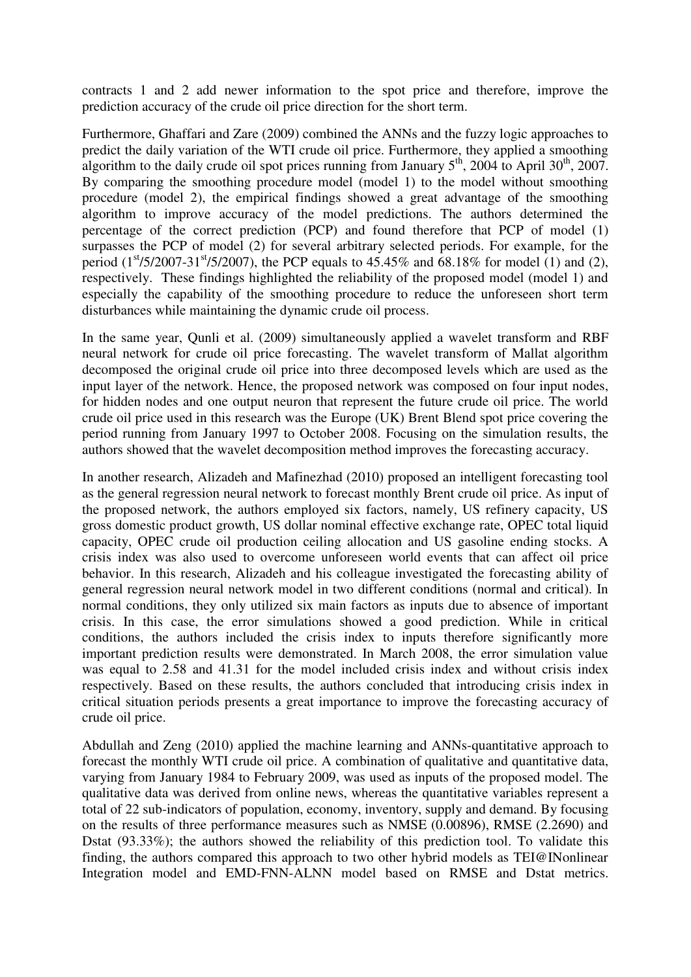contracts 1 and 2 add newer information to the spot price and therefore, improve the prediction accuracy of the crude oil price direction for the short term.

Furthermore, Ghaffari and Zare (2009) combined the ANNs and the fuzzy logic approaches to predict the daily variation of the WTI crude oil price. Furthermore, they applied a smoothing algorithm to the daily crude oil spot prices running from January  $5<sup>th</sup>$ , 2004 to April 30<sup>th</sup>, 2007. By comparing the smoothing procedure model (model 1) to the model without smoothing procedure (model 2), the empirical findings showed a great advantage of the smoothing algorithm to improve accuracy of the model predictions. The authors determined the percentage of the correct prediction (PCP) and found therefore that PCP of model (1) surpasses the PCP of model (2) for several arbitrary selected periods. For example, for the period  $(1^{st}/5/2007-31^{st}/5/2007)$ , the PCP equals to 45.45% and 68.18% for model (1) and (2), respectively. These findings highlighted the reliability of the proposed model (model 1) and especially the capability of the smoothing procedure to reduce the unforeseen short term disturbances while maintaining the dynamic crude oil process.

In the same year, Qunli et al. (2009) simultaneously applied a wavelet transform and RBF neural network for crude oil price forecasting. The wavelet transform of Mallat algorithm decomposed the original crude oil price into three decomposed levels which are used as the input layer of the network. Hence, the proposed network was composed on four input nodes, for hidden nodes and one output neuron that represent the future crude oil price. The world crude oil price used in this research was the Europe (UK) Brent Blend spot price covering the period running from January 1997 to October 2008. Focusing on the simulation results, the authors showed that the wavelet decomposition method improves the forecasting accuracy.

In another research, Alizadeh and Mafinezhad (2010) proposed an intelligent forecasting tool as the general regression neural network to forecast monthly Brent crude oil price. As input of the proposed network, the authors employed six factors, namely, US refinery capacity, US gross domestic product growth, US dollar nominal effective exchange rate, OPEC total liquid capacity, OPEC crude oil production ceiling allocation and US gasoline ending stocks. A crisis index was also used to overcome unforeseen world events that can affect oil price behavior. In this research, Alizadeh and his colleague investigated the forecasting ability of general regression neural network model in two different conditions (normal and critical). In normal conditions, they only utilized six main factors as inputs due to absence of important crisis. In this case, the error simulations showed a good prediction. While in critical conditions, the authors included the crisis index to inputs therefore significantly more important prediction results were demonstrated. In March 2008, the error simulation value was equal to 2.58 and 41.31 for the model included crisis index and without crisis index respectively. Based on these results, the authors concluded that introducing crisis index in critical situation periods presents a great importance to improve the forecasting accuracy of crude oil price.

Abdullah and Zeng (2010) applied the machine learning and ANNs-quantitative approach to forecast the monthly WTI crude oil price. A combination of qualitative and quantitative data, varying from January 1984 to February 2009, was used as inputs of the proposed model. The qualitative data was derived from online news, whereas the quantitative variables represent a total of 22 sub-indicators of population, economy, inventory, supply and demand. By focusing on the results of three performance measures such as NMSE (0.00896), RMSE (2.2690) and Dstat (93.33%); the authors showed the reliability of this prediction tool. To validate this finding, the authors compared this approach to two other hybrid models as TEI@INonlinear Integration model and EMD-FNN-ALNN model based on RMSE and Dstat metrics.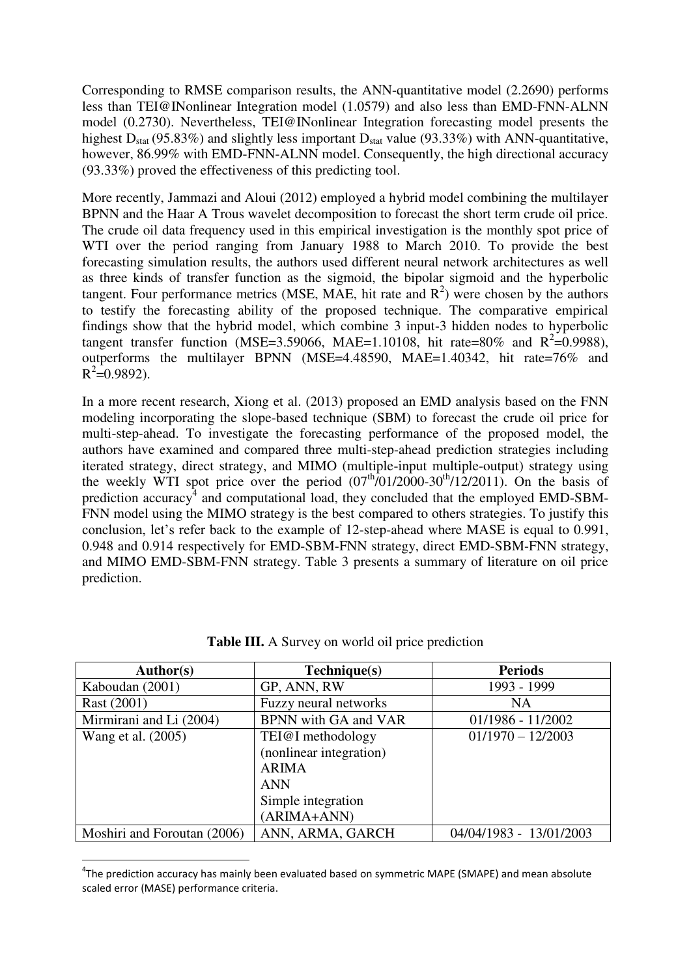Corresponding to RMSE comparison results, the ANN-quantitative model (2.2690) performs less than TEI@INonlinear Integration model (1.0579) and also less than EMD-FNN-ALNN model (0.2730). Nevertheless, TEI@INonlinear Integration forecasting model presents the highest  $D_{stat}$  (95.83%) and slightly less important  $D_{stat}$  value (93.33%) with ANN-quantitative, however, 86.99% with EMD-FNN-ALNN model. Consequently, the high directional accuracy (93.33%) proved the effectiveness of this predicting tool.

More recently, Jammazi and Aloui (2012) employed a hybrid model combining the multilayer BPNN and the Haar A Trous wavelet decomposition to forecast the short term crude oil price. The crude oil data frequency used in this empirical investigation is the monthly spot price of WTI over the period ranging from January 1988 to March 2010. To provide the best forecasting simulation results, the authors used different neural network architectures as well as three kinds of transfer function as the sigmoid, the bipolar sigmoid and the hyperbolic tangent. Four performance metrics (MSE, MAE, hit rate and  $R^2$ ) were chosen by the authors to testify the forecasting ability of the proposed technique. The comparative empirical findings show that the hybrid model, which combine 3 input-3 hidden nodes to hyperbolic tangent transfer function (MSE=3.59066, MAE=1.10108, hit rate=80% and  $R^2$ =0.9988), outperforms the multilayer BPNN (MSE=4.48590, MAE=1.40342, hit rate=76% and  $R^2$ =0.9892).

In a more recent research, Xiong et al. (2013) proposed an EMD analysis based on the FNN modeling incorporating the slope-based technique (SBM) to forecast the crude oil price for multi-step-ahead. To investigate the forecasting performance of the proposed model, the authors have examined and compared three multi-step-ahead prediction strategies including iterated strategy, direct strategy, and MIMO (multiple-input multiple-output) strategy using the weekly WTI spot price over the period  $(07<sup>th</sup>/01/2000-30<sup>th</sup>/12/2011)$ . On the basis of prediction accuracy<sup>4</sup> and computational load, they concluded that the employed EMD-SBM-FNN model using the MIMO strategy is the best compared to others strategies. To justify this conclusion, let's refer back to the example of 12-step-ahead where MASE is equal to 0.991, 0.948 and 0.914 respectively for EMD-SBM-FNN strategy, direct EMD-SBM-FNN strategy, and MIMO EMD-SBM-FNN strategy. Table 3 presents a summary of literature on oil price prediction.

| Author(s)                   | Technique(s)            | <b>Periods</b>          |
|-----------------------------|-------------------------|-------------------------|
| Kaboudan (2001)             | GP, ANN, RW             | 1993 - 1999             |
| Rast (2001)                 | Fuzzy neural networks   | <b>NA</b>               |
| Mirmirani and Li (2004)     | BPNN with GA and VAR    | $01/1986 - 11/2002$     |
| Wang et al. (2005)          | TEI@I methodology       | $01/1970 - 12/2003$     |
|                             | (nonlinear integration) |                         |
|                             | <b>ARIMA</b>            |                         |
|                             | <b>ANN</b>              |                         |
|                             | Simple integration      |                         |
|                             | (ARIMA+ANN)             |                         |
| Moshiri and Foroutan (2006) | ANN, ARMA, GARCH        | 04/04/1983 - 13/01/2003 |

**Table III.** A Survey on world oil price prediction

<u>.</u>

<sup>&</sup>lt;sup>4</sup>The prediction accuracy has mainly been evaluated based on symmetric MAPE (SMAPE) and mean absolute scaled error (MASE) performance criteria.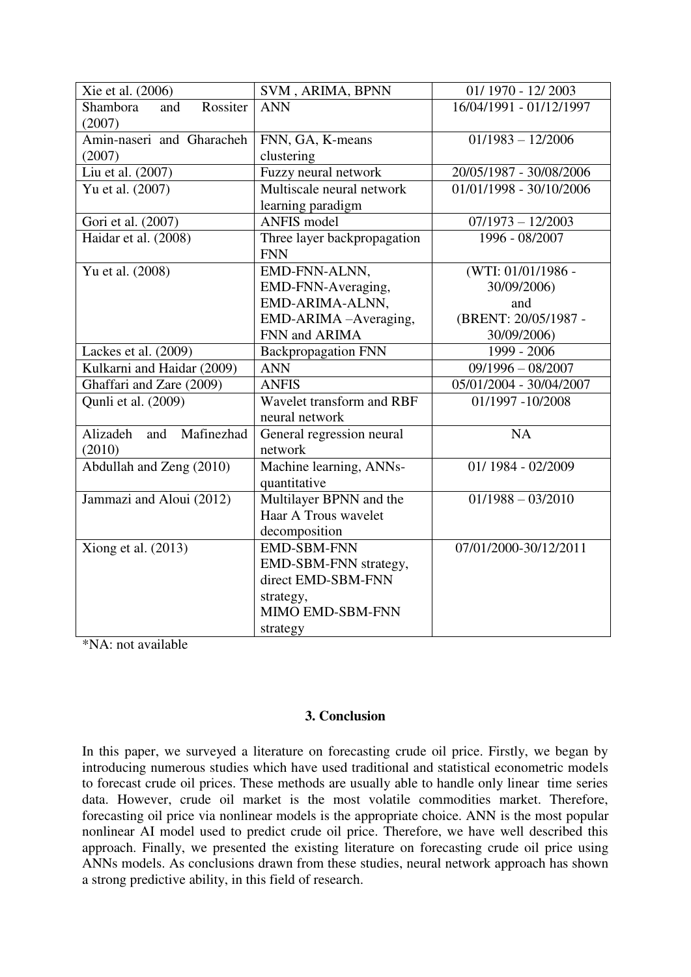| Xie et al. (2006)             | SVM, ARIMA, BPNN            | 01/1970 - 12/2003       |
|-------------------------------|-----------------------------|-------------------------|
| Shambora<br>Rossiter<br>and   | <b>ANN</b>                  | 16/04/1991 - 01/12/1997 |
| (2007)                        |                             |                         |
| Amin-naseri and Gharacheh     | FNN, GA, K-means            | $01/1983 - 12/2006$     |
| (2007)                        | clustering                  |                         |
| Liu et al. (2007)             | Fuzzy neural network        | 20/05/1987 - 30/08/2006 |
| Yu et al. (2007)              | Multiscale neural network   | 01/01/1998 - 30/10/2006 |
|                               | learning paradigm           |                         |
| Gori et al. (2007)            | <b>ANFIS</b> model          | $07/1973 - 12/2003$     |
| Haidar et al. (2008)          | Three layer backpropagation | 1996 - 08/2007          |
|                               | <b>FNN</b>                  |                         |
| Yu et al. (2008)              | EMD-FNN-ALNN,               | (WTI: 01/01/1986 -      |
|                               | EMD-FNN-Averaging,          | 30/09/2006)             |
|                               | EMD-ARIMA-ALNN,             | and                     |
|                               | EMD-ARIMA-Averaging,        | (BRENT: 20/05/1987 -    |
|                               | FNN and ARIMA               | 30/09/2006)             |
| Lackes et al. (2009)          | <b>Backpropagation FNN</b>  | 1999 - 2006             |
| Kulkarni and Haidar (2009)    | <b>ANN</b>                  | $09/1996 - 08/2007$     |
| Ghaffari and Zare (2009)      | <b>ANFIS</b>                | 05/01/2004 - 30/04/2007 |
| Qunli et al. (2009)           | Wavelet transform and RBF   | 01/1997 -10/2008        |
|                               | neural network              |                         |
| Alizadeh<br>Mafinezhad<br>and | General regression neural   | NA                      |
| (2010)                        | network                     |                         |
| Abdullah and Zeng (2010)      | Machine learning, ANNs-     | 01/1984 - 02/2009       |
|                               | quantitative                |                         |
| Jammazi and Aloui (2012)      | Multilayer BPNN and the     | $01/1988 - 03/2010$     |
|                               | Haar A Trous wavelet        |                         |
|                               | decomposition               |                         |
| Xiong et al. $(2013)$         | <b>EMD-SBM-FNN</b>          | 07/01/2000-30/12/2011   |
|                               | EMD-SBM-FNN strategy,       |                         |
|                               | direct EMD-SBM-FNN          |                         |
|                               | strategy,                   |                         |
|                               | MIMO EMD-SBM-FNN            |                         |
|                               | strategy                    |                         |

\*NA: not available

### **3. Conclusion**

In this paper, we surveyed a literature on forecasting crude oil price. Firstly, we began by introducing numerous studies which have used traditional and statistical econometric models to forecast crude oil prices. These methods are usually able to handle only linear time series data. However, crude oil market is the most volatile commodities market. Therefore, forecasting oil price via nonlinear models is the appropriate choice. ANN is the most popular nonlinear AI model used to predict crude oil price. Therefore, we have well described this approach. Finally, we presented the existing literature on forecasting crude oil price using ANNs models. As conclusions drawn from these studies, neural network approach has shown a strong predictive ability, in this field of research.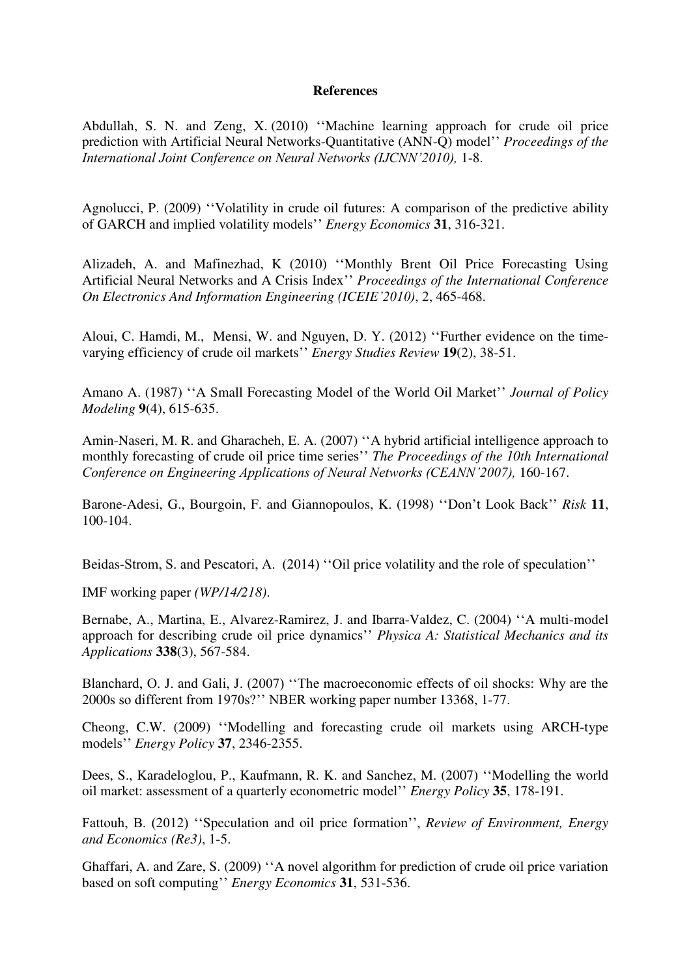#### **References**

[Abdullah, S. N.](http://ieeexplore.ieee.org/search/searchresult.jsp?searchWithin=p_Authors:.QT.Abdullah,%20S.%20N..QT.&searchWithin=p_Author_Ids:38196634500&newsearch=true) and [Zeng, X.](http://ieeexplore.ieee.org/search/searchresult.jsp?searchWithin=p_Authors:.QT.Zeng,%20X..QT.&searchWithin=p_Author_Ids:38193850500&newsearch=true) (2010) ""Machine learning approach for crude oil price prediction with Artificial Neural Networks-Quantitative (ANN-Q) model"" *Proceedings of the International Joint Conference on Neural Networks (IJCNN'2010),* 1-8.

Agnolucci, P. (2009) ""Volatility in crude oil futures: A comparison of the predictive ability of GARCH and implied volatility models"" *Energy Economics* **31**, 316-321.

Alizadeh, A. and Mafinezhad, K (2010) ""Monthly Brent Oil Price Forecasting Using Artificial Neural Networks and A Crisis Index"" *Proceedings of the [International Conference](http://libra.msra.cn/Conference/3710/iceie-international-conference-on-electronics-and-information-engineering)  [On Electronics And Information Engineering \(ICEIE](http://libra.msra.cn/Conference/3710/iceie-international-conference-on-electronics-and-information-engineering)'2010)*, 2, 465-468.

Aloui, C. Hamdi, M., Mensi, W. and Nguyen, D. Y. (2012) ""Further evidence on the timevarying efficiency of crude oil markets"" *Energy Studies Review* **19**(2), 38-51.

Amano A. (1987) "A Small Forecasting Model of the World Oil Market" *Journal of Policy Modeling* **9**(4), 615-635.

Amin-Naseri, M. R. and Gharacheh, E. A. (2007) "A hybrid artificial intelligence approach to monthly forecasting of crude oil price time series"" *The Proceedings of the 10th International Conference on Engineering Applications of Neural Networks (CEANN'2007),* 160-167.

Barone-Adesi, G., Bourgoin, F. and Giannopoulos, K. (1998) ""Don"t Look Back"" *Risk* **11**, 100-104.

Beidas-Strom, S. and Pescatori, A. (2014) "Oil price volatility and the role of speculation"

IMF working paper *(WP/14/218)*.

Bernabe, A., Martina, E., Alvarez-Ramirez, J. and Ibarra-Valdez, C. (2004) ""A multi-model approach for describing crude oil price dynamics"" *Physica A: Statistical Mechanics and its Applications* **338**(3), 567-584.

Blanchard, O. J. and Gali, J. (2007) ""The macroeconomic effects of oil shocks: Why are the 2000s so different from 1970s?"" NBER working paper number 13368, 1-77.

Cheong, C.W. (2009) ""Modelling and forecasting crude oil markets using ARCH-type models"" *Energy Policy* **37**, 2346-2355.

Dees, S., Karadeloglou, P., Kaufmann, R. K. and Sanchez, M. (2007) ""Modelling the world oil market: assessment of a quarterly econometric model"" *Energy Policy* **35**, 178-191.

Fattouh, B. (2012) "Speculation and oil price formation", *Review of Environment, Energy and Economics (Re3)*, 1-5.

Ghaffari, A. and Zare, S. (2009) "A novel algorithm for prediction of crude oil price variation based on soft computing"" *Energy Economics* **31**, 531-536.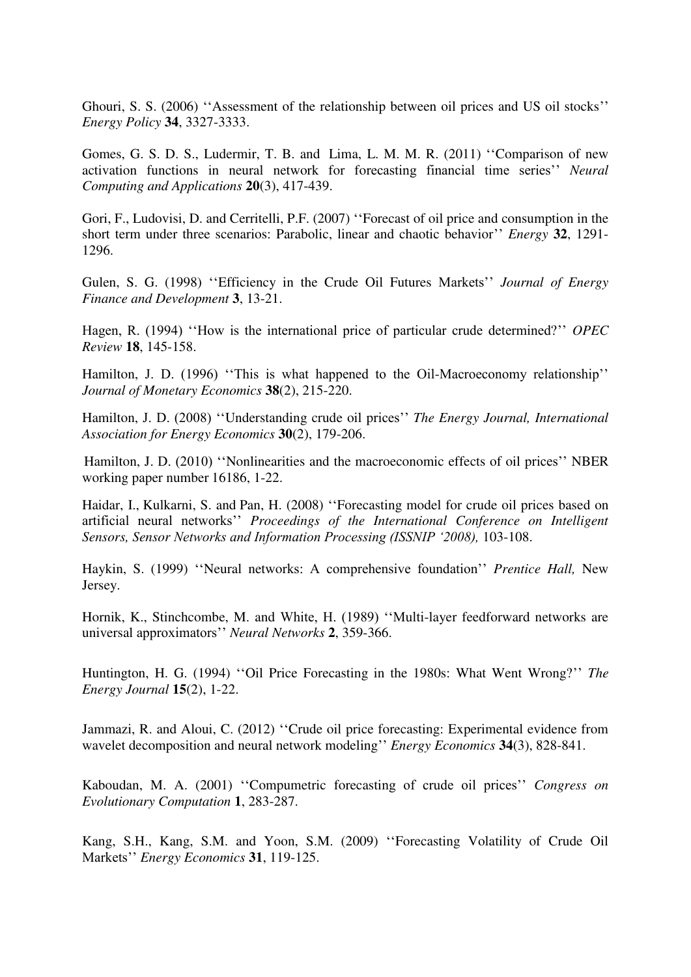Ghouri, S. S. (2006) "Assessment of the relationship between oil prices and US oil stocks" *Energy Policy* **34**, 3327-3333.

[Gomes,](http://link.springer.com/search?facet-author=%22Gecynalda+S.+da+S.+Gomes%22) G. S. D. S., [Ludermir,](http://link.springer.com/search?facet-author=%22Teresa+B.+Ludermir%22) T. B. and [Lima,](http://link.springer.com/search?facet-author=%22Leyla+M.+M.+R.+Lima%22) L. M. M. R. (2011) ""Comparison of new activation functions in neural network for forecasting financial time series"" *[Neural](http://link.springer.com/journal/521)  [Computing and Applications](http://link.springer.com/journal/521)* **20**(3), 417-439.

Gori, F., Ludovisi, D. and Cerritelli, P.F. (2007) ""Forecast of oil price and consumption in the short term under three scenarios: Parabolic, linear and chaotic behavior"" *Energy* **32**, 1291- 1296.

Gulen, S. G. (1998) "Efficiency in the Crude Oil Futures Markets" *Journal of Energy Finance and Development* **3**, 13-21.

Hagen, R. (1994) "How is the international price of particular crude determined?" *OPEC Review* **18**, 145-158.

Hamilton, J. D. (1996) "This is what happened to the Oil-Macroeconomy relationship" *Journal of Monetary Economics* **38**(2), 215-220.

Hamilton, J. D. (2008) ""Understanding crude oil prices"" *The Energy Journal, International Association for Energy Economics* **30**(2), 179-206.

Hamilton, J. D. (2010) "Nonlinearities and the macroeconomic effects of oil prices" NBER working paper number 16186, 1-22.

[Haidar, I.,](http://ieeexplore.ieee.org/search/searchresult.jsp?searchWithin=p_Authors:.QT.Haidar,%20Imad.QT.&searchWithin=p_Author_Ids:38186200300&newsearch=true) [Kulkarni, S.](http://ieeexplore.ieee.org/search/searchresult.jsp?searchWithin=p_Authors:.QT.Kulkarni,%20Siddhivinayak.QT.&searchWithin=p_Author_Ids:37275754300&newsearch=true) and [Pan, H.](http://ieeexplore.ieee.org/search/searchresult.jsp?searchWithin=p_Authors:.QT.Pan,%20Heping.QT.&searchWithin=p_Author_Ids:38187858200&newsearch=true) (2008) ""Forecasting model for crude oil prices based on artificial neural networks"" *Proceedings of the International Conference on Intelligent Sensors, Sensor Networks and Information Processing (ISSNIP '2008),* 103-108.

Haykin, S. (1999) ""Neural networks: A comprehensive foundation"" *Prentice Hall,* New Jersey.

Hornik, K., Stinchcombe, M. and White, H. (1989) "Multi-layer feedforward networks are universal approximators"" *Neural Networks* **2**, 359-366.

Huntington, H. G. (1994) "Oil Price Forecasting in the 1980s: What Went Wrong?" *The Energy Journal* **15**(2), 1-22.

Jammazi, R. and Aloui, C. (2012) "Crude oil price forecasting: Experimental evidence from [wavelet decomposition and neural network modeling](http://ideas.repec.org/a/eee/eneeco/v34y2012i3p828-841.html)" *[Energy Economics](http://ideas.repec.org/s/eee/eneeco.html)* 34(3), 828-841.

Kaboudan, M. A. (2001) ""Compumetric forecasting of crude oil prices"" *Congress on Evolutionary Computation* **1**, 283-287.

Kang, S.H., Kang, S.M. and Yoon, S.M. (2009) ""Forecasting Volatility of Crude Oil Markets"" *Energy Economics* **31**, 119-125.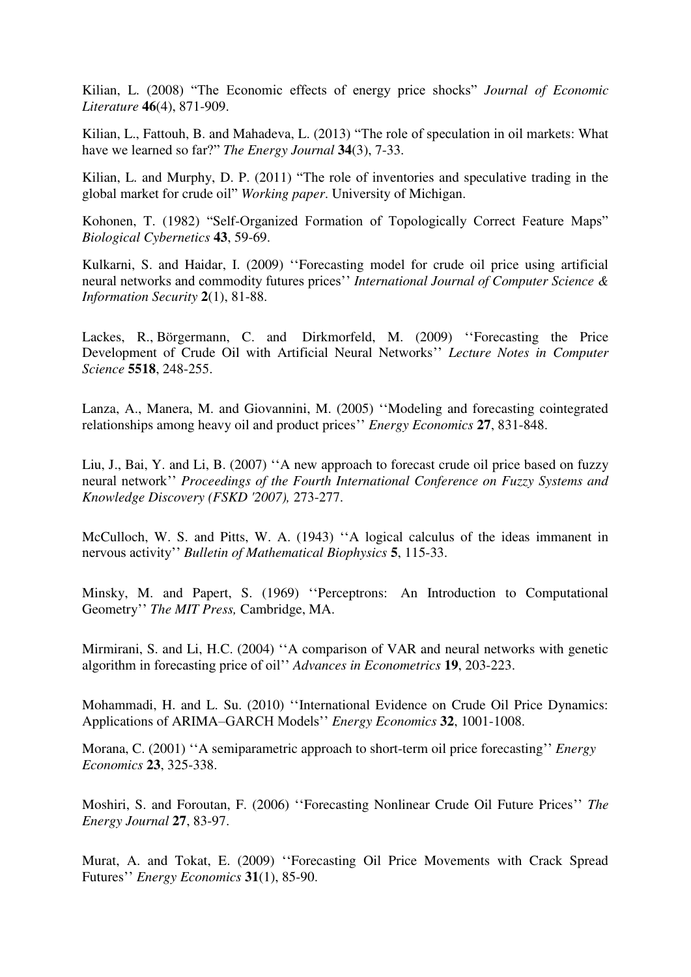Kilian, L. (2008) "The Economic effects of energy price shocks" *Journal of Economic Literature* **46**(4), 871-909.

Kilian, L., Fattouh, B. and Mahadeva, L. (2013) "The role of speculation in oil markets: What have we learned so far?" *The Energy Journal* **34**(3), 7-33.

Kilian, L. and Murphy, D. P. (2011) "The role of inventories and speculative trading in the global market for crude oil" *Working paper*. University of Michigan.

Kohonen, T. (1982) "Self-Organized Formation of Topologically Correct Feature Maps" *Biological Cybernetics* **43**, 59-69.

Kulkarni, S. and Haidar, I. (2009) "Forecasting model for crude oil price using artificial neural networks and commodity futures prices"" *International Journal of Computer Science & Information Security* **2**(1), 81-88.

Lackes, R., [Börgermann,](http://www.informatik.uni-trier.de/~ley/pers/hd/b/B=ouml=rgermann:Chris.html) C. and [Dirkmorfeld,](http://www.informatik.uni-trier.de/~ley/pers/hd/d/Dirkmorfeld:Matthias.html) M. (2009) ""Forecasting the Price Development of Crude Oil with Artificial Neural Networks"" *Lecture Notes in Computer Science* **5518**, 248-255.

Lanza, A., Manera, M. and Giovannini, M. (2005) ""Modeling and forecasting cointegrated relationships among heavy oil and product prices"" *Energy Economics* **27**, 831-848.

Liu, J., Bai, Y. and Li, B. (2007) ""A new approach to forecast crude oil price based on fuzzy neural network"" *Proceedings of the Fourth International Conference on Fuzzy Systems and Knowledge Discovery (FSKD '2007),* 273-277.

McCulloch, W. S. and Pitts, W. A. (1943) "A logical calculus of the ideas immanent in nervous activity"" *Bulletin of Mathematical Biophysics* **5**, 115-33.

Minsky, M. and Papert, S. (1969) ""Perceptrons: An Introduction to Computational Geometry"" *The MIT Press,* Cambridge, MA.

Mirmirani, S. and Li, H.C. (2004) "A comparison of VAR and neural networks with genetic algorithm in forecasting price of oil"" *Advances in Econometrics* **19**, 203-223.

Mohammadi, H. and L. Su. (2010) ""International Evidence on Crude Oil Price Dynamics: Applications of ARIMA–GARCH Models"" *Energy Economics* **32**, 1001-1008.

Morana, C. (2001) "A semiparametric approach to short-term oil price forecasting" *Energy Economics* **23**, 325-338.

Moshiri, S. and Foroutan, F. (2006) ""Forecasting Nonlinear Crude Oil Future Prices"" *The Energy Journal* **27**, 83-97.

Murat, A. and Tokat, E. (2009) ""Forecasting Oil Price Movements with Crack Spread Futures"" *Energy Economics* **31**(1), 85-90.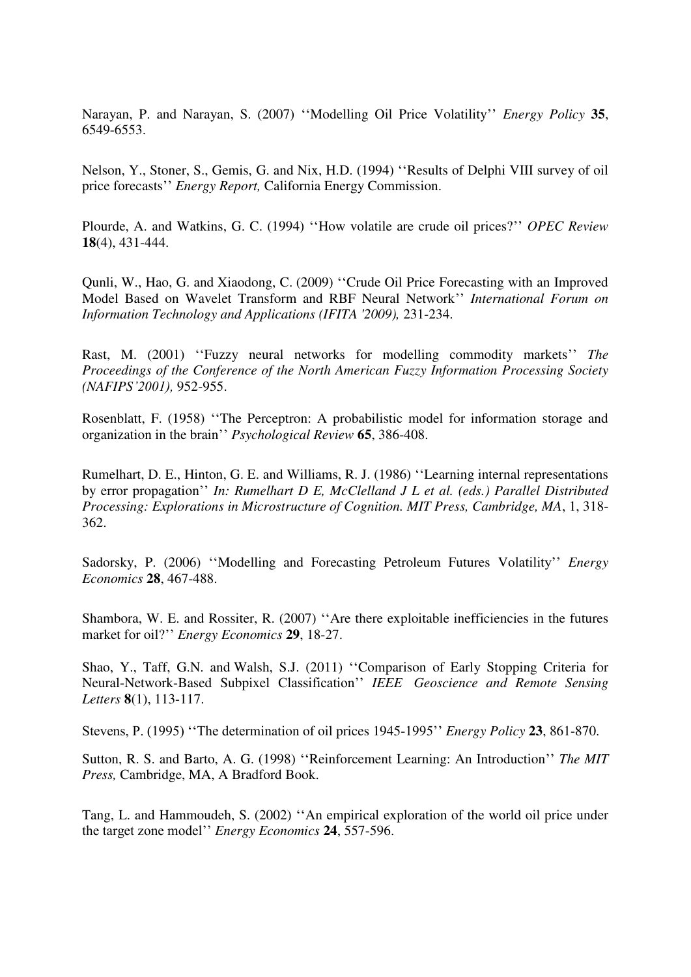Narayan, P. and Narayan, S. (2007) ""Modelling Oil Price Volatility"" *Energy Policy* **35**, 6549-6553.

Nelson, Y., Stoner, S., Gemis, G. and Nix, H.D. (1994) ""Results of Delphi VIII survey of oil price forecasts"" *Energy Report,* California Energy Commission.

Plourde, A. and Watkins, G. C. (1994) ""How volatile are crude oil prices?"" *OPEC Review* **18**[\(4\), 4](http://onlinelibrary.wiley.com/doi/10.1111/opec.1994.18.issue-4/issuetoc)31-444.

[Qunli, W.](http://ieeexplore.ieee.org/search/searchresult.jsp?searchWithin=p_Authors:.QT.Qunli,%20Wu.QT.&searchWithin=p_Author_Ids:37397748200&newsearch=true)[, Hao,](http://ieeexplore.ieee.org/search/searchresult.jsp?searchWithin=p_Authors:.QT.Ge,%20Hao.QT.&searchWithin=p_Author_Ids:37684256400&newsearch=true) G. and [Xiaodong, C.](http://ieeexplore.ieee.org/search/searchresult.jsp?searchWithin=p_Authors:.QT.Xiaodong,%20Cheng.QT.&searchWithin=p_Author_Ids:37902316200&newsearch=true) (2009) ""Crude Oil Price Forecasting with an Improved Model Based on Wavelet Transform and RBF Neural Network"" *International Forum on [Information Technology and Applications \(IFITA '2009\),](http://ieeexplore.ieee.org/xpl/mostRecentIssue.jsp?punumber=5231181)* 231-234.

[Rast,](http://academic.research.microsoft.com/Author/18962728/martin-rast) M. (2001) "Fuzzy neural networks for modelling commodity markets" *The Proceedings of the [Conference of the North American Fuzzy Information Processing Society](http://libra.msra.cn/Conference/3875/nafips-conference-of-the-north-american-fuzzy-information-processing-society)  [\(NAFIPS](http://libra.msra.cn/Conference/3875/nafips-conference-of-the-north-american-fuzzy-information-processing-society)'2001),* 952-955.

Rosenblatt, F. (1958) ""The Perceptron: A probabilistic model for information storage and organization in the brain"" *Psychological Review* **65**, 386-408.

Rumelhart, D. E., Hinton, G. E. and Williams, R. J. (1986) ""Learning internal representations by error propagation"" *In: Rumelhart D E, McClelland J L et al. (eds.) Parallel Distributed Processing: Explorations in Microstructure of Cognition. MIT Press, Cambridge, MA*, 1, 318- 362.

Sadorsky, P. (2006) "Modelling and Forecasting Petroleum Futures Volatility" *Energy Economics* **28**, 467-488.

Shambora, W. E. and Rossiter, R. (2007) "Are there exploitable inefficiencies in the futures market for oil?"" *Energy Economics* **29**, 18-27.

[Shao,](http://ieeexplore.ieee.org/search/searchresult.jsp?searchWithin=p_Authors:.QT.Yang%20Shao.QT.&searchWithin=p_Author_Ids:37533738500&newsearch=true) Y., [Taff, G.N.](http://ieeexplore.ieee.org/search/searchresult.jsp?searchWithin=p_Authors:.QT.Taff,%20G.N..QT.&searchWithin=p_Author_Ids:37545985800&newsearch=true) and [Walsh, S.J.](http://ieeexplore.ieee.org/search/searchresult.jsp?searchWithin=p_Authors:.QT.Walsh,%20S.J..QT.&searchWithin=p_Author_Ids:37348340900&newsearch=true) (2011) "Comparison of Early Stopping Criteria for Neural-Network-Based Subpixel Classification"" *IEEE [Geoscience and Remote Sensing](http://ieeexplore.ieee.org/xpl/RecentIssue.jsp?punumber=8859)  [Letters](http://ieeexplore.ieee.org/xpl/RecentIssue.jsp?punumber=8859)* **8**[\(1\)](http://ieeexplore.ieee.org/xpl/tocresult.jsp?isnumber=5673451), 113-117.

Stevens, P. (1995) ""The determination of oil prices 1945-1995"" *Energy Policy* **23**, 861-870.

Sutton, R. S. and Barto, A. G. (1998) ""Reinforcement Learning: An Introduction"" *The MIT Press,* Cambridge, MA, A Bradford Book.

Tang, L. and Hammoudeh, S. (2002) "An empirical exploration of the world oil price under the target zone model"" *Energy Economics* **24**, 557-596.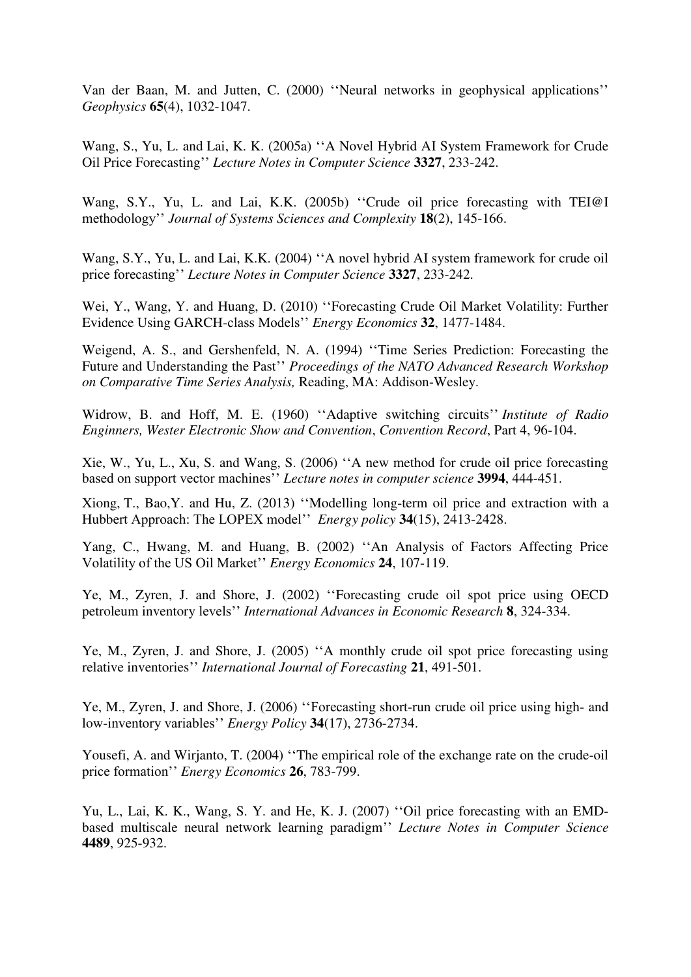Van der Baan, M. and Jutten, C. (2000) ""Neural networks in geophysical applications"" *Geophysics* **65**(4), 1032-1047.

[Wang,](http://link.springer.com/search?facet-author=%22Shouyang+Wang%22) S.[, Yu,](http://link.springer.com/search?facet-author=%22Lean+Yu%22) L. and [Lai,](http://link.springer.com/search?facet-author=%22K.+K.+Lai%22) K. K. (2005a) ""A Novel Hybrid AI System Framework for Crude Oil Price Forecasting"" *[Lecture Notes in Computer Science](http://link.springer.com/bookseries/558)* **3327**, 233-242.

Wang, S.Y., Yu, L. and Lai, K.K. (2005b) "Crude oil price forecasting with TEI@I methodology"" *Journal of Systems Sciences and Complexity* **18**(2), 145-166.

Wang, S.Y., Yu, L. and Lai, K.K. (2004) "A novel hybrid AI system framework for crude oil price forecasting"" *Lecture Notes in Computer Science* **3327**, 233-242.

Wei, Y., Wang, Y. and Huang, D. (2010) ""Forecasting Crude Oil Market Volatility: Further Evidence Using GARCH-class Models"" *Energy Economics* **32**, 1477-1484.

Weigend, A. S., and Gershenfeld, N. A. (1994) ""Time Series Prediction: Forecasting the Future and Understanding the Past"" *Proceedings of the NATO Advanced Research Workshop on Comparative Time Series Analysis,* Reading, MA: Addison-Wesley.

Widrow, B. and Hoff, M. E. (1960) ""Adaptive switching circuits"" *Institute of Radio Enginners, Wester Electronic Show and Convention*, *Convention Record*, Part 4, 96-104.

Xie, W., Yu, L., Xu, S. and Wang, S. (2006) ""A new method for crude oil price forecasting based on support vector machines"" *Lecture notes in computer science* **3994**, 444-451.

Xiong, T., Bao,Y. and Hu, Z. (2013) ""Modelling long-term oil price and extraction with a Hubbert Approach: The LOPEX model"" *Energy policy* **34**(15), 2413-2428.

Yang, C., Hwang, M. and Huang, B. (2002) ""An Analysis of Factors Affecting Price Volatility of the US Oil Market"" *Energy Economics* **24**, 107-119.

Ye, M., Zyren, J. and Shore, J. (2002) ""Forecasting crude oil spot price using OECD petroleum inventory levels"" *International Advances in Economic Research* **8**, 324-334.

Ye, M., Zyren, J. and Shore, J. (2005) "A monthly crude oil spot price forecasting using relative inventories"" *International Journal of Forecasting* **21**, 491-501.

Ye, M., Zyren, J. and Shore, J. (2006) ""Forecasting short-run crude oil price using high- and low-inventory variables"" *Energy Policy* **34**(17), 2736-2734.

Yousefi, A. and Wirjanto, T. (2004) ""The empirical role of the exchange rate on the crude-oil price formation"" *Energy Economics* **26**, 783-799.

Yu, L., Lai, K. K., Wang, S. Y. and He, K. J. (2007) "Oil price forecasting with an EMDbased multiscale neural network learning paradigm"" *Lecture Notes in Computer Science*  **4489**, 925-932.